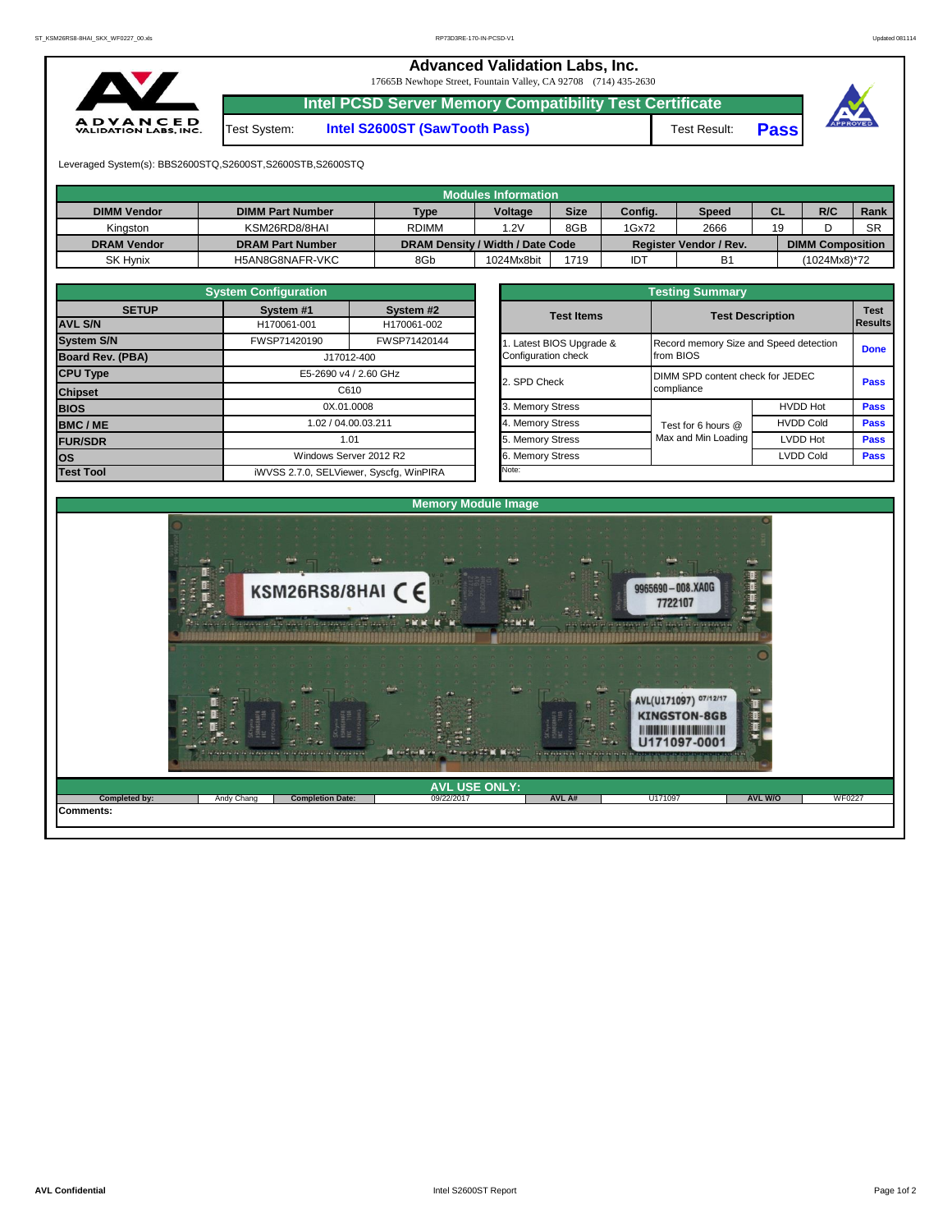## **Advanced Validation Labs, Inc.**

17665B Newhope Street, Fountain Valley, CA 92708 (714) 435-2630



Test System: **Intel S2600ST (SawTooth Pass)** Test Result: **Pass**

**Intel PCSD Server Memory Compatibility Test Certificate**



Leveraged System(s): BBS2600STQ,S2600ST,S2600STB,S2600STQ

|                    |                         |                                  | <b>Modules Information</b> |             |         |                        |           |                         |           |
|--------------------|-------------------------|----------------------------------|----------------------------|-------------|---------|------------------------|-----------|-------------------------|-----------|
| <b>DIMM Vendor</b> | <b>DIMM Part Number</b> | <b>Type</b>                      | Voltage                    | <b>Size</b> | Config. | <b>Speed</b>           | <b>CL</b> | R/C                     | Rank      |
| Kinaston           | KSM26RD8/8HAI           | <b>RDIMM</b>                     | 1.2V                       | 8GB         | 1Gx72   | 2666                   | 19        |                         | <b>SR</b> |
| <b>DRAM Vendor</b> | <b>DRAM Part Number</b> | DRAM Density / Width / Date Code |                            |             |         | Register Vendor / Rev. |           | <b>DIMM Composition</b> |           |
| <b>SK Hynix</b>    | H5AN8G8NAFR-VKC         | 8Gb                              | 1024Mx8bit                 | 1719        | IDT     | <b>B1</b>              |           | (1024Mx8)*72            |           |

|                   | <b>System Configuration</b> |                                         | <b>Testing Summary</b> |                                        |                  |                               |  |  |  |  |  |  |  |
|-------------------|-----------------------------|-----------------------------------------|------------------------|----------------------------------------|------------------|-------------------------------|--|--|--|--|--|--|--|
| <b>SETUP</b>      | System #1                   | System #2                               | <b>Test Items</b>      | <b>Test Description</b>                |                  | <b>Test</b><br><b>Results</b> |  |  |  |  |  |  |  |
| <b>AVL S/N</b>    | H170061-001                 | H170061-002                             |                        |                                        |                  |                               |  |  |  |  |  |  |  |
| <b>System S/N</b> | FWSP71420190                | FWSP71420144                            | Latest BIOS Upgrade &  | Record memory Size and Speed detection |                  | <b>Done</b>                   |  |  |  |  |  |  |  |
| Board Rev. (PBA)  |                             | J17012-400                              | Configuration check    | from BIOS                              |                  |                               |  |  |  |  |  |  |  |
| <b>CPU Type</b>   |                             | E5-2690 v4 / 2.60 GHz                   | 2. SPD Check           | DIMM SPD content check for JEDEC       |                  | <b>Pass</b>                   |  |  |  |  |  |  |  |
| <b>Chipset</b>    | C610                        |                                         |                        | compliance                             |                  |                               |  |  |  |  |  |  |  |
| <b>BIOS</b>       | 0X.01.0008                  |                                         | 3. Memory Stress       |                                        | <b>HVDD Hot</b>  | <b>Pass</b>                   |  |  |  |  |  |  |  |
| <b>BMC/ME</b>     | 1.02 / 04.00.03.211         |                                         | 4. Memory Stress       | Test for 6 hours @                     | <b>HVDD Cold</b> | <b>Pass</b>                   |  |  |  |  |  |  |  |
| <b>FUR/SDR</b>    | 1.01                        |                                         | 5. Memory Stress       | Max and Min Loading                    | <b>LVDD Hot</b>  | <b>Pass</b>                   |  |  |  |  |  |  |  |
| los               |                             | Windows Server 2012 R2                  | . Memory Stress        |                                        | <b>LVDD Cold</b> | <b>Pass</b>                   |  |  |  |  |  |  |  |
| <b>Test Tool</b>  |                             | iWVSS 2.7.0, SELViewer, Syscfq, WinPIRA | Note:                  |                                        |                  |                               |  |  |  |  |  |  |  |